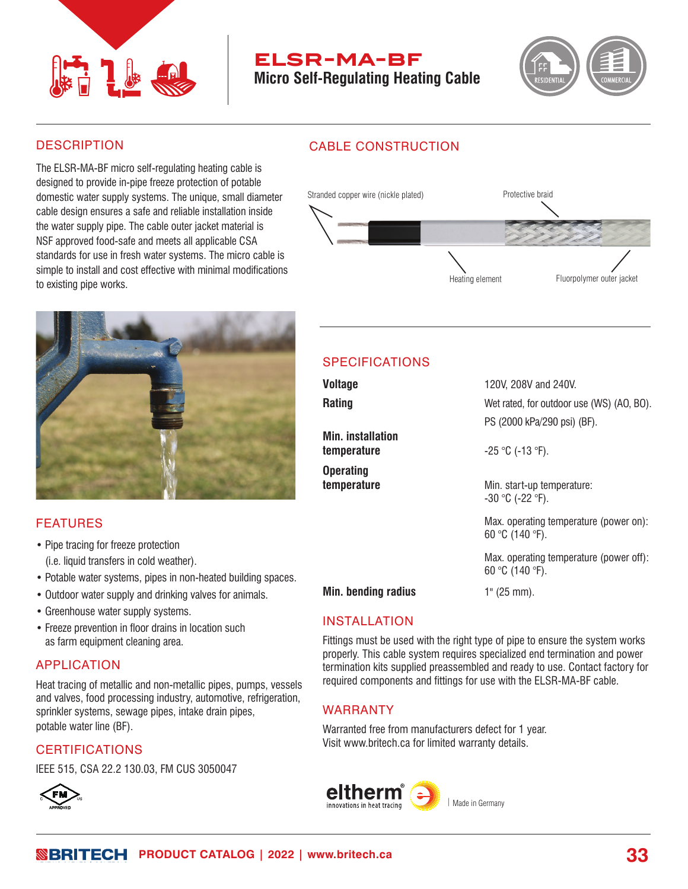

# **elsr-ma-bf**

**Micro Self-Regulating Heating Cable**

CABLE CONSTRUCTION



#### **DESCRIPTION**

The ELSR-MA-BF micro self-regulating heating cable is designed to provide in-pipe freeze protection of potable domestic water supply systems. The unique, small diameter cable design ensures a safe and reliable installation inside the water supply pipe. The cable outer jacket material is NSF approved food-safe and meets all applicable CSA standards for use in fresh water systems. The micro cable is simple to install and cost effective with minimal modifications to existing pipe works.

# Heating element Stranded copper wire (nickle plated) Protective braid Fluorpolymer outer jacket



### FEATURES

- Pipe tracing for freeze protection (i.e. liquid transfers in cold weather).
- Potable water systems, pipes in non-heated building spaces.
- Outdoor water supply and drinking valves for animals.
- Greenhouse water supply systems.
- Freeze prevention in floor drains in location such as farm equipment cleaning area.

#### APPLICATION

Heat tracing of metallic and non-metallic pipes, pumps, vessels and valves, food processing industry, automotive, refrigeration, sprinkler systems, sewage pipes, intake drain pipes, potable water line (BF).

#### **CERTIFICATIONS**

IEEE 515, CSA 22.2 130.03, FM CUS 3050047 **59 5959**



# SPECIFICATIONS

| <b>Voltage</b>                          | 120V, 208V and 240V.                                                     |
|-----------------------------------------|--------------------------------------------------------------------------|
| <b>Rating</b>                           | Wet rated, for outdoor use (WS) (AO, BO).<br>PS (2000 kPa/290 psi) (BF). |
| <b>Min.</b> installation<br>temperature | $-25$ °C (-13 °F).                                                       |
| <b>Operating</b><br>temperature         | Min. start-up temperature:<br>$-30$ °C (-22 °F).                         |
|                                         | Max. operating temperature (power on):<br>60 °C (140 °F).                |
|                                         | Max. operating temperature (power off):<br>60 °C (140 °F).               |
| <b>Min. bending radius</b>              | $1"$ (25 mm).                                                            |

### INSTALLATION

Fittings must be used with the right type of pipe to ensure the system works properly. This cable system requires specialized end termination and power termination kits supplied preassembled and ready to use. Contact factory for required components and fittings for use with the ELSR-MA-BF cable.

### WARRANTY

Warranted free from manufacturers defect for 1 year. Visit www.britech.ca for limited warranty details.



**ROBRITECH** PRODUCT CATALOG | 2022 | www.britech.ca **33**